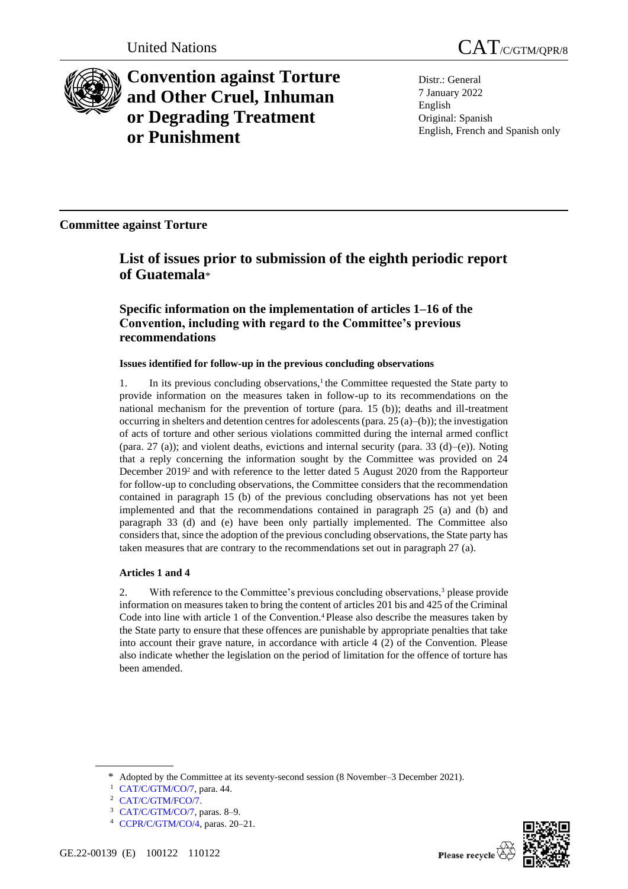

**Convention against Torture and Other Cruel, Inhuman or Degrading Treatment or Punishment**

Distr.: General 7 January 2022 English Original: Spanish English, French and Spanish only

**Committee against Torture**

# **List of issues prior to submission of the eighth periodic report of Guatemala**\*

**Specific information on the implementation of articles 1–16 of the Convention, including with regard to the Committee's previous recommendations**

# **Issues identified for follow-up in the previous concluding observations**

1. In its previous concluding observations,<sup>1</sup> the Committee requested the State party to provide information on the measures taken in follow-up to its recommendations on the national mechanism for the prevention of torture (para. 15 (b)); deaths and ill-treatment occurring in shelters and detention centres for adolescents (para. 25 (a)–(b)); the investigation of acts of torture and other serious violations committed during the internal armed conflict (para. 27 (a)); and violent deaths, evictions and internal security (para. 33 (d)–(e)). Noting that a reply concerning the information sought by the Committee was provided on 24 December 2019<sup>2</sup> and with reference to the letter dated 5 August 2020 from the Rapporteur for follow-up to concluding observations, the Committee considers that the recommendation contained in paragraph 15 (b) of the previous concluding observations has not yet been implemented and that the recommendations contained in paragraph 25 (a) and (b) and paragraph 33 (d) and (e) have been only partially implemented. The Committee also considers that, since the adoption of the previous concluding observations, the State party has taken measures that are contrary to the recommendations set out in paragraph 27 (a).

## **Articles 1 and 4**

2. With reference to the Committee's previous concluding observations,<sup>3</sup> please provide information on measures taken to bring the content of articles 201 bis and 425 of the Criminal Code into line with article 1 of the Convention.<sup>4</sup> Please also describe the measures taken by the State party to ensure that these offences are punishable by appropriate penalties that take into account their grave nature, in accordance with article 4 (2) of the Convention. Please also indicate whether the legislation on the period of limitation for the offence of torture has been amended.

<sup>\*</sup> Adopted by the Committee at its seventy-second session (8 November–3 December 2021).

<sup>1</sup> [CAT/C/GTM/CO/7,](http://undocs.org/en/CAT/C/GTM/CO/7) para. 44.

<sup>2</sup> [CAT/C/GTM/FCO/7.](http://undocs.org/en/CAT/C/GTM/FCO/7.)

<sup>3</sup> [CAT/C/GTM/CO/7,](http://undocs.org/en/CAT/C/GTM/CO/7) paras. 8–9.

<sup>4</sup> [CCPR/C/GTM/CO/4,](http://undocs.org/en/CCPR/C/GTM/CO/4) paras. 20–21.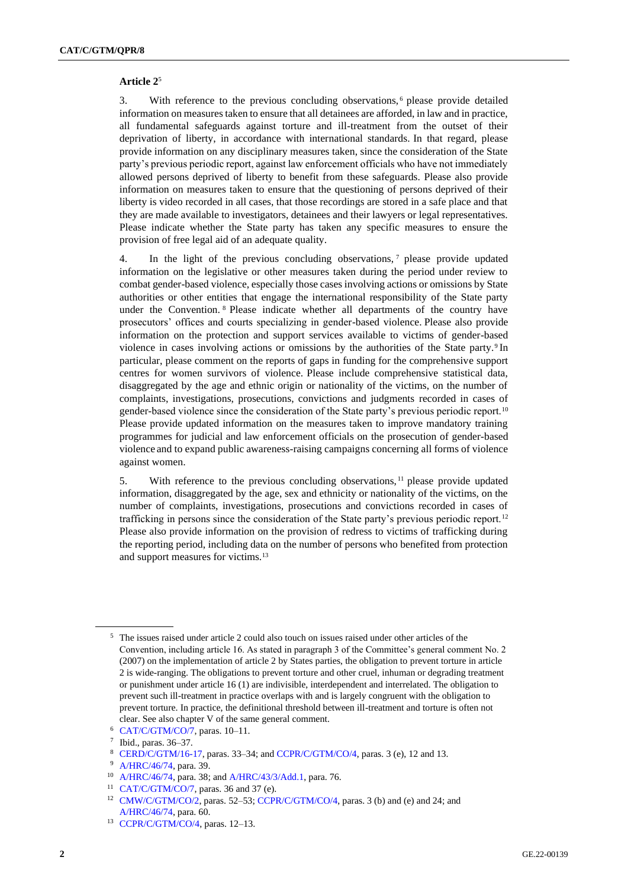3. With reference to the previous concluding observations, <sup>6</sup> please provide detailed information on measures taken to ensure that all detainees are afforded, in law and in practice, all fundamental safeguards against torture and ill-treatment from the outset of their deprivation of liberty, in accordance with international standards. In that regard, please provide information on any disciplinary measures taken, since the consideration of the State party's previous periodic report, against law enforcement officials who have not immediately allowed persons deprived of liberty to benefit from these safeguards. Please also provide information on measures taken to ensure that the questioning of persons deprived of their liberty is video recorded in all cases, that those recordings are stored in a safe place and that they are made available to investigators, detainees and their lawyers or legal representatives. Please indicate whether the State party has taken any specific measures to ensure the provision of free legal aid of an adequate quality.

4. In the light of the previous concluding observations,<sup>7</sup> please provide updated information on the legislative or other measures taken during the period under review to combat gender-based violence, especially those cases involving actions or omissions by State authorities or other entities that engage the international responsibility of the State party under the Convention. <sup>8</sup> Please indicate whether all departments of the country have prosecutors' offices and courts specializing in gender-based violence. Please also provide information on the protection and support services available to victims of gender-based violence in cases involving actions or omissions by the authorities of the State party.<sup>9</sup> In particular, please comment on the reports of gaps in funding for the comprehensive support centres for women survivors of violence. Please include comprehensive statistical data, disaggregated by the age and ethnic origin or nationality of the victims, on the number of complaints, investigations, prosecutions, convictions and judgments recorded in cases of gender-based violence since the consideration of the State party's previous periodic report.<sup>10</sup> Please provide updated information on the measures taken to improve mandatory training programmes for judicial and law enforcement officials on the prosecution of gender-based violence and to expand public awareness-raising campaigns concerning all forms of violence against women.

5. With reference to the previous concluding observations, <sup>11</sup> please provide updated information, disaggregated by the age, sex and ethnicity or nationality of the victims, on the number of complaints, investigations, prosecutions and convictions recorded in cases of trafficking in persons since the consideration of the State party's previous periodic report.<sup>12</sup> Please also provide information on the provision of redress to victims of trafficking during the reporting period, including data on the number of persons who benefited from protection and support measures for victims.<sup>13</sup>

<sup>5</sup> The issues raised under article 2 could also touch on issues raised under other articles of the Convention, including article 16. As stated in paragraph 3 of the Committee's general comment No. 2 (2007) on the implementation of article 2 by States parties, the obligation to prevent torture in article 2 is wide-ranging. The obligations to prevent torture and other cruel, inhuman or degrading treatment or punishment under article 16 (1) are indivisible, interdependent and interrelated. The obligation to prevent such ill-treatment in practice overlaps with and is largely congruent with the obligation to prevent torture. In practice, the definitional threshold between ill-treatment and torture is often not clear. See also chapter V of the same general comment.

<sup>6</sup> [CAT/C/GTM/CO/7,](http://undocs.org/en/CAT/C/GTM/CO/7) paras. 10–11.

<sup>7</sup> Ibid., paras. 36–37.

<sup>8</sup> [CERD/C/GTM/16-17,](http://undocs.org/en/CERD/C/GTM/16-17) paras. 33–34; an[d CCPR/C/GTM/CO/4,](http://undocs.org/en/CCPR/C/GTM/CO/4) paras. 3 (e), 12 and 13.

<sup>9</sup> [A/HRC/46/74,](http://undocs.org/en/A/HRC/46/74) para. 39.

<sup>10</sup> [A/HRC/46/74,](http://undocs.org/en/A/HRC/46/74) para. 38; an[d A/HRC/43/3/Add.1,](http://undocs.org/en/A/HRC/43/3/Add.1) para. 76.

<sup>11</sup> [CAT/C/GTM/CO/7,](http://undocs.org/en/CAT/C/GTM/CO/7) paras. 36 and 37 (e).

<sup>12</sup> [CMW/C/GTM/CO/2,](http://undocs.org/en/CMW/C/GTM/CO/2) paras. 52–53; [CCPR/C/GTM/CO/4,](http://undocs.org/en/CCPR/C/GTM/CO/4) paras. 3 (b) and (e) and 24; and [A/HRC/46/74,](http://undocs.org/en/A/HRC/46/74) para. 60.

<sup>13</sup> [CCPR/C/GTM/CO/4,](http://undocs.org/en/CCPR/C/GTM/CO/4) paras. 12–13.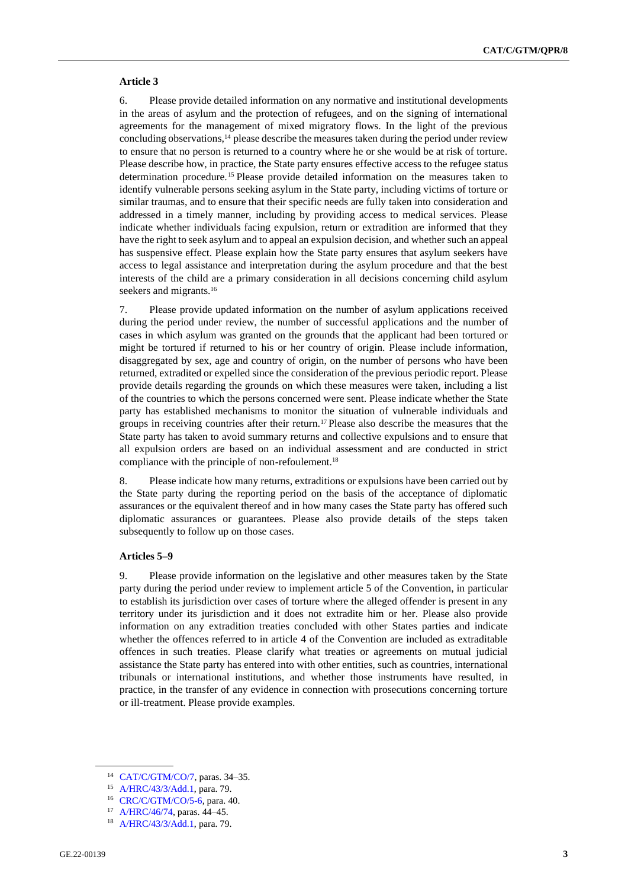6. Please provide detailed information on any normative and institutional developments in the areas of asylum and the protection of refugees, and on the signing of international agreements for the management of mixed migratory flows. In the light of the previous concluding observations,<sup>14</sup> please describe the measures taken during the period under review to ensure that no person is returned to a country where he or she would be at risk of torture. Please describe how, in practice, the State party ensures effective access to the refugee status determination procedure.<sup>15</sup> Please provide detailed information on the measures taken to identify vulnerable persons seeking asylum in the State party, including victims of torture or similar traumas, and to ensure that their specific needs are fully taken into consideration and addressed in a timely manner, including by providing access to medical services. Please indicate whether individuals facing expulsion, return or extradition are informed that they have the right to seek asylum and to appeal an expulsion decision, and whether such an appeal has suspensive effect. Please explain how the State party ensures that asylum seekers have access to legal assistance and interpretation during the asylum procedure and that the best interests of the child are a primary consideration in all decisions concerning child asylum seekers and migrants.<sup>16</sup>

7. Please provide updated information on the number of asylum applications received during the period under review, the number of successful applications and the number of cases in which asylum was granted on the grounds that the applicant had been tortured or might be tortured if returned to his or her country of origin. Please include information, disaggregated by sex, age and country of origin, on the number of persons who have been returned, extradited or expelled since the consideration of the previous periodic report. Please provide details regarding the grounds on which these measures were taken, including a list of the countries to which the persons concerned were sent. Please indicate whether the State party has established mechanisms to monitor the situation of vulnerable individuals and groups in receiving countries after their return.<sup>17</sup> Please also describe the measures that the State party has taken to avoid summary returns and collective expulsions and to ensure that all expulsion orders are based on an individual assessment and are conducted in strict compliance with the principle of non-refoulement.<sup>18</sup>

8. Please indicate how many returns, extraditions or expulsions have been carried out by the State party during the reporting period on the basis of the acceptance of diplomatic assurances or the equivalent thereof and in how many cases the State party has offered such diplomatic assurances or guarantees. Please also provide details of the steps taken subsequently to follow up on those cases.

#### **Articles 5–9**

9. Please provide information on the legislative and other measures taken by the State party during the period under review to implement article 5 of the Convention, in particular to establish its jurisdiction over cases of torture where the alleged offender is present in any territory under its jurisdiction and it does not extradite him or her. Please also provide information on any extradition treaties concluded with other States parties and indicate whether the offences referred to in article 4 of the Convention are included as extraditable offences in such treaties. Please clarify what treaties or agreements on mutual judicial assistance the State party has entered into with other entities, such as countries, international tribunals or international institutions, and whether those instruments have resulted, in practice, in the transfer of any evidence in connection with prosecutions concerning torture or ill-treatment. Please provide examples.

<sup>14</sup> [CAT/C/GTM/CO/7,](http://undocs.org/en/CAT/C/GTM/CO/7) paras. 34–35.

<sup>15</sup> [A/HRC/43/3/Add.1,](http://undocs.org/en/A/HRC/43/3/Add.1) para. 79.

<sup>16</sup> [CRC/C/GTM/CO/5-6,](http://undocs.org/en/CRC/C/GTM/CO/5-6) para. 40.

<sup>17</sup> [A/HRC/46/74,](http://undocs.org/en/A/HRC/46/74) paras. 44–45.

<sup>18</sup> [A/HRC/43/3/Add.1,](http://undocs.org/en/A/HRC/43/3/Add.1) para. 79.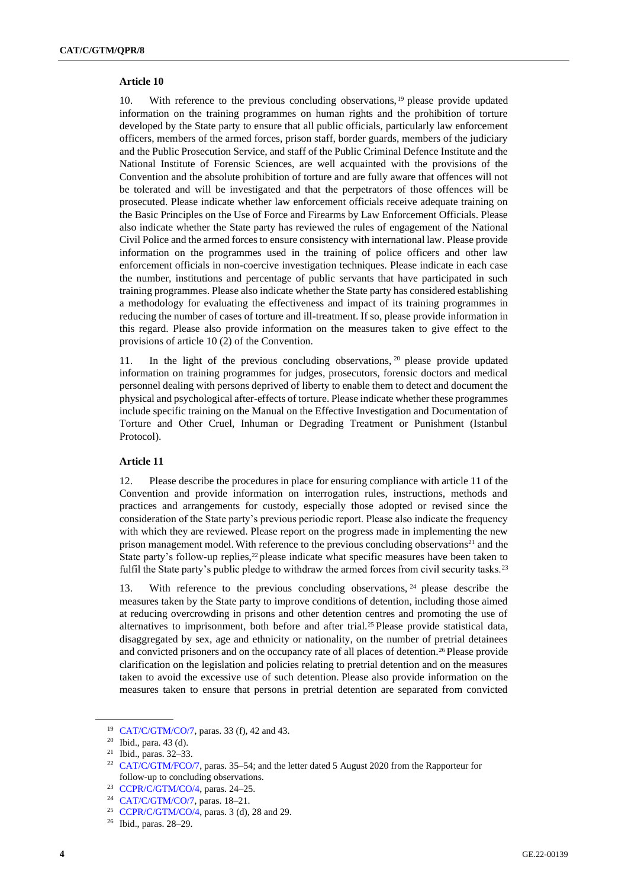10. With reference to the previous concluding observations, <sup>19</sup> please provide updated information on the training programmes on human rights and the prohibition of torture developed by the State party to ensure that all public officials, particularly law enforcement officers, members of the armed forces, prison staff, border guards, members of the judiciary and the Public Prosecution Service, and staff of the Public Criminal Defence Institute and the National Institute of Forensic Sciences, are well acquainted with the provisions of the Convention and the absolute prohibition of torture and are fully aware that offences will not be tolerated and will be investigated and that the perpetrators of those offences will be prosecuted. Please indicate whether law enforcement officials receive adequate training on the Basic Principles on the Use of Force and Firearms by Law Enforcement Officials. Please also indicate whether the State party has reviewed the rules of engagement of the National Civil Police and the armed forces to ensure consistency with international law. Please provide information on the programmes used in the training of police officers and other law enforcement officials in non-coercive investigation techniques. Please indicate in each case the number, institutions and percentage of public servants that have participated in such training programmes. Please also indicate whether the State party has considered establishing a methodology for evaluating the effectiveness and impact of its training programmes in reducing the number of cases of torture and ill-treatment. If so, please provide information in this regard. Please also provide information on the measures taken to give effect to the provisions of article 10 (2) of the Convention.

11. In the light of the previous concluding observations, <sup>20</sup> please provide updated information on training programmes for judges, prosecutors, forensic doctors and medical personnel dealing with persons deprived of liberty to enable them to detect and document the physical and psychological after-effects of torture. Please indicate whether these programmes include specific training on the Manual on the Effective Investigation and Documentation of Torture and Other Cruel, Inhuman or Degrading Treatment or Punishment (Istanbul Protocol).

## **Article 11**

12. Please describe the procedures in place for ensuring compliance with article 11 of the Convention and provide information on interrogation rules, instructions, methods and practices and arrangements for custody, especially those adopted or revised since the consideration of the State party's previous periodic report. Please also indicate the frequency with which they are reviewed. Please report on the progress made in implementing the new prison management model. With reference to the previous concluding observations<sup>21</sup> and the State party's follow-up replies, $2<sup>2</sup>$  please indicate what specific measures have been taken to fulfil the State party's public pledge to withdraw the armed forces from civil security tasks.<sup>23</sup>

13. With reference to the previous concluding observations, <sup>24</sup> please describe the measures taken by the State party to improve conditions of detention, including those aimed at reducing overcrowding in prisons and other detention centres and promoting the use of alternatives to imprisonment, both before and after trial.<sup>25</sup> Please provide statistical data, disaggregated by sex, age and ethnicity or nationality, on the number of pretrial detainees and convicted prisoners and on the occupancy rate of all places of detention.<sup>26</sup> Please provide clarification on the legislation and policies relating to pretrial detention and on the measures taken to avoid the excessive use of such detention. Please also provide information on the measures taken to ensure that persons in pretrial detention are separated from convicted

<sup>19</sup> [CAT/C/GTM/CO/7,](http://undocs.org/en/CAT/C/GTM/CO/7) paras. 33 (f), 42 and 43.

<sup>20</sup> Ibid., para. 43 (d).

<sup>21</sup> Ibid., paras. 32–33.

<sup>&</sup>lt;sup>22</sup> [CAT/C/GTM/FCO/7,](http://undocs.org/en/CAT/C/GTM/FCO/7) paras. 35–54; and the letter dated 5 August 2020 from the Rapporteur for follow-up to concluding observations.

<sup>23</sup> [CCPR/C/GTM/CO/4,](http://undocs.org/en/CCPR/C/GTM/CO/4) paras. 24–25.

<sup>24</sup> [CAT/C/GTM/CO/7,](http://undocs.org/en/CAT/C/GTM/CO/7) paras. 18–21.

<sup>25</sup> [CCPR/C/GTM/CO/4,](http://undocs.org/en/CCPR/C/GTM/CO/4) paras. 3 (d), 28 and 29.

<sup>26</sup> Ibid., paras. 28–29.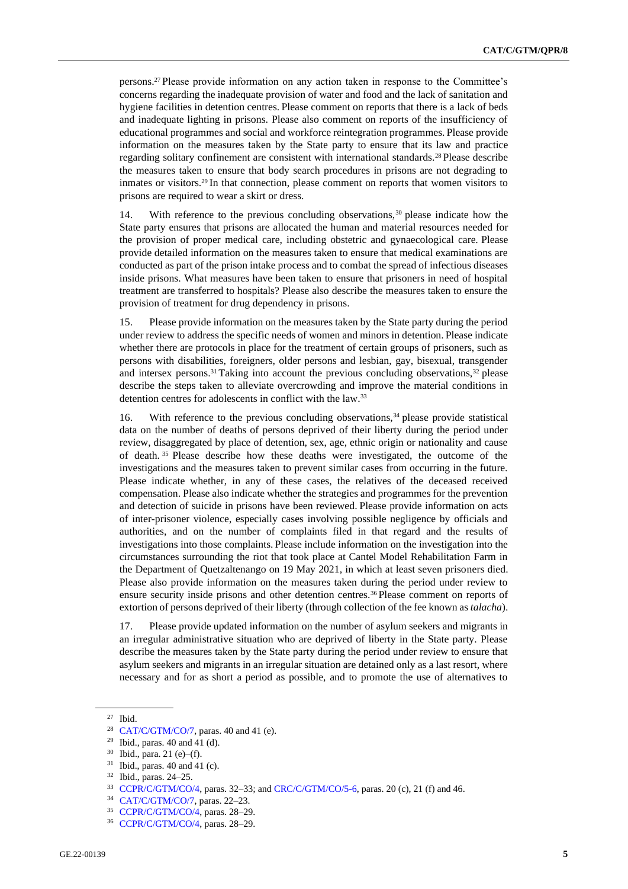persons.<sup>27</sup> Please provide information on any action taken in response to the Committee's concerns regarding the inadequate provision of water and food and the lack of sanitation and hygiene facilities in detention centres. Please comment on reports that there is a lack of beds and inadequate lighting in prisons. Please also comment on reports of the insufficiency of educational programmes and social and workforce reintegration programmes. Please provide information on the measures taken by the State party to ensure that its law and practice regarding solitary confinement are consistent with international standards.<sup>28</sup> Please describe the measures taken to ensure that body search procedures in prisons are not degrading to inmates or visitors.<sup>29</sup> In that connection, please comment on reports that women visitors to prisons are required to wear a skirt or dress.

14. With reference to the previous concluding observations,<sup>30</sup> please indicate how the State party ensures that prisons are allocated the human and material resources needed for the provision of proper medical care, including obstetric and gynaecological care. Please provide detailed information on the measures taken to ensure that medical examinations are conducted as part of the prison intake process and to combat the spread of infectious diseases inside prisons. What measures have been taken to ensure that prisoners in need of hospital treatment are transferred to hospitals? Please also describe the measures taken to ensure the provision of treatment for drug dependency in prisons.

15. Please provide information on the measures taken by the State party during the period under review to address the specific needs of women and minors in detention. Please indicate whether there are protocols in place for the treatment of certain groups of prisoners, such as persons with disabilities, foreigners, older persons and lesbian, gay, bisexual, transgender and intersex persons.<sup>31</sup> Taking into account the previous concluding observations, $32$  please describe the steps taken to alleviate overcrowding and improve the material conditions in detention centres for adolescents in conflict with the law.<sup>33</sup>

16. With reference to the previous concluding observations,<sup>34</sup> please provide statistical data on the number of deaths of persons deprived of their liberty during the period under review, disaggregated by place of detention, sex, age, ethnic origin or nationality and cause of death. <sup>35</sup> Please describe how these deaths were investigated, the outcome of the investigations and the measures taken to prevent similar cases from occurring in the future. Please indicate whether, in any of these cases, the relatives of the deceased received compensation. Please also indicate whether the strategies and programmes for the prevention and detection of suicide in prisons have been reviewed. Please provide information on acts of inter-prisoner violence, especially cases involving possible negligence by officials and authorities, and on the number of complaints filed in that regard and the results of investigations into those complaints. Please include information on the investigation into the circumstances surrounding the riot that took place at Cantel Model Rehabilitation Farm in the Department of Quetzaltenango on 19 May 2021, in which at least seven prisoners died. Please also provide information on the measures taken during the period under review to ensure security inside prisons and other detention centres.<sup>36</sup> Please comment on reports of extortion of persons deprived of their liberty (through collection of the fee known as *talacha*).

17. Please provide updated information on the number of asylum seekers and migrants in an irregular administrative situation who are deprived of liberty in the State party. Please describe the measures taken by the State party during the period under review to ensure that asylum seekers and migrants in an irregular situation are detained only as a last resort, where necessary and for as short a period as possible, and to promote the use of alternatives to

<sup>27</sup> Ibid.

<sup>28</sup> [CAT/C/GTM/CO/7,](http://undocs.org/en/CAT/C/GTM/CO/7) paras. 40 and 41 (e).

<sup>&</sup>lt;sup>29</sup> Ibid., paras. 40 and 41 (d).

<sup>30</sup> Ibid., para. 21 (e)–(f).

<sup>31</sup> Ibid., paras. 40 and 41 (c).

<sup>32</sup> Ibid., paras. 24–25.

<sup>33</sup> [CCPR/C/GTM/CO/4,](http://undocs.org/en/CCPR/C/GTM/CO/4) paras. 32–33; and [CRC/C/GTM/CO/5-6,](http://undocs.org/en/CRC/C/GTM/CO/5-6) paras. 20 (c), 21 (f) and 46.

<sup>34</sup> [CAT/C/GTM/CO/7,](http://undocs.org/en/CAT/C/GTM/CO/7) paras. 22–23.

<sup>35</sup> [CCPR/C/GTM/CO/4,](http://undocs.org/en/CCPR/C/GTM/CO/4) paras. 28–29.

<sup>36</sup> [CCPR/C/GTM/CO/4,](http://undocs.org/en/CCPR/C/GTM/CO/4) paras. 28–29.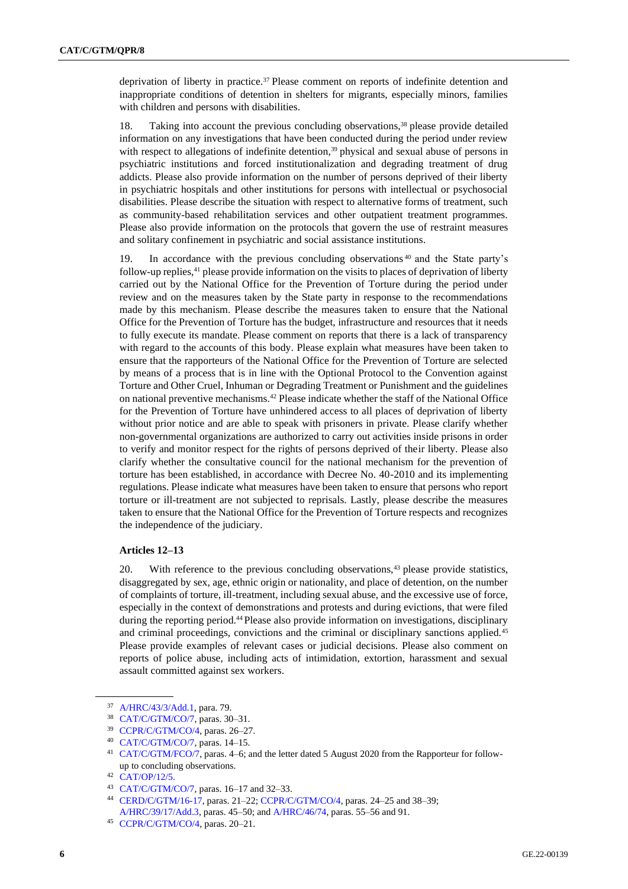deprivation of liberty in practice.<sup>37</sup> Please comment on reports of indefinite detention and inappropriate conditions of detention in shelters for migrants, especially minors, families with children and persons with disabilities.

18. Taking into account the previous concluding observations,<sup>38</sup> please provide detailed information on any investigations that have been conducted during the period under review with respect to allegations of indefinite detention,<sup>39</sup> physical and sexual abuse of persons in psychiatric institutions and forced institutionalization and degrading treatment of drug addicts. Please also provide information on the number of persons deprived of their liberty in psychiatric hospitals and other institutions for persons with intellectual or psychosocial disabilities. Please describe the situation with respect to alternative forms of treatment, such as community-based rehabilitation services and other outpatient treatment programmes. Please also provide information on the protocols that govern the use of restraint measures and solitary confinement in psychiatric and social assistance institutions.

19. In accordance with the previous concluding observations <sup>40</sup> and the State party's follow-up replies,<sup>41</sup> please provide information on the visits to places of deprivation of liberty carried out by the National Office for the Prevention of Torture during the period under review and on the measures taken by the State party in response to the recommendations made by this mechanism. Please describe the measures taken to ensure that the National Office for the Prevention of Torture has the budget, infrastructure and resources that it needs to fully execute its mandate. Please comment on reports that there is a lack of transparency with regard to the accounts of this body. Please explain what measures have been taken to ensure that the rapporteurs of the National Office for the Prevention of Torture are selected by means of a process that is in line with the Optional Protocol to the Convention against Torture and Other Cruel, Inhuman or Degrading Treatment or Punishment and the guidelines on national preventive mechanisms.<sup>42</sup> Please indicate whether the staff of the National Office for the Prevention of Torture have unhindered access to all places of deprivation of liberty without prior notice and are able to speak with prisoners in private. Please clarify whether non-governmental organizations are authorized to carry out activities inside prisons in order to verify and monitor respect for the rights of persons deprived of their liberty. Please also clarify whether the consultative council for the national mechanism for the prevention of torture has been established, in accordance with Decree No. 40-2010 and its implementing regulations. Please indicate what measures have been taken to ensure that persons who report torture or ill-treatment are not subjected to reprisals. Lastly, please describe the measures taken to ensure that the National Office for the Prevention of Torture respects and recognizes the independence of the judiciary.

## **Articles 12–13**

20. With reference to the previous concluding observations,<sup>43</sup> please provide statistics, disaggregated by sex, age, ethnic origin or nationality, and place of detention, on the number of complaints of torture, ill-treatment, including sexual abuse, and the excessive use of force, especially in the context of demonstrations and protests and during evictions, that were filed during the reporting period.<sup>44</sup> Please also provide information on investigations, disciplinary and criminal proceedings, convictions and the criminal or disciplinary sanctions applied.<sup>45</sup> Please provide examples of relevant cases or judicial decisions. Please also comment on reports of police abuse, including acts of intimidation, extortion, harassment and sexual assault committed against sex workers.

<sup>37</sup> [A/HRC/43/3/Add.1,](http://undocs.org/en/A/HRC/43/3/Add.1) para. 79.

<sup>38</sup> [CAT/C/GTM/CO/7,](http://undocs.org/en/CAT/C/GTM/CO/7) paras. 30–31.

<sup>39</sup> [CCPR/C/GTM/CO/4,](http://undocs.org/en/CCPR/C/GTM/CO/4) paras. 26–27.

<sup>40</sup> [CAT/C/GTM/CO/7,](http://undocs.org/en/CAT/C/GTM/CO/7) paras. 14–15.

<sup>41</sup> [CAT/C/GTM/FCO/7,](http://undocs.org/en/CAT/C/GTM/FCO/7) paras. 4–6; and the letter dated 5 August 2020 from the Rapporteur for followup to concluding observations.

<sup>42</sup> [CAT/OP/12/5.](http://undocs.org/en/CAT/OP/12/5.)

<sup>43</sup> [CAT/C/GTM/CO/7,](http://undocs.org/en/CAT/C/GTM/CO/7) paras. 16–17 and 32–33.

<sup>44</sup> [CERD/C/GTM/16-17,](http://undocs.org/en/CERD/C/GTM/16-17) paras. 21–22; [CCPR/C/GTM/CO/4,](http://undocs.org/en/CCPR/C/GTM/CO/4) paras. 24–25 and 38–39; [A/HRC/39/17/Add.3,](http://undocs.org/en/A/HRC/39/17/Add.3) paras. 45–50; and [A/HRC/46/74,](http://undocs.org/en/A/HRC/46/74) paras. 55–56 and 91.

<sup>45</sup> [CCPR/C/GTM/CO/4,](http://undocs.org/en/CCPR/C/GTM/CO/4) paras. 20–21.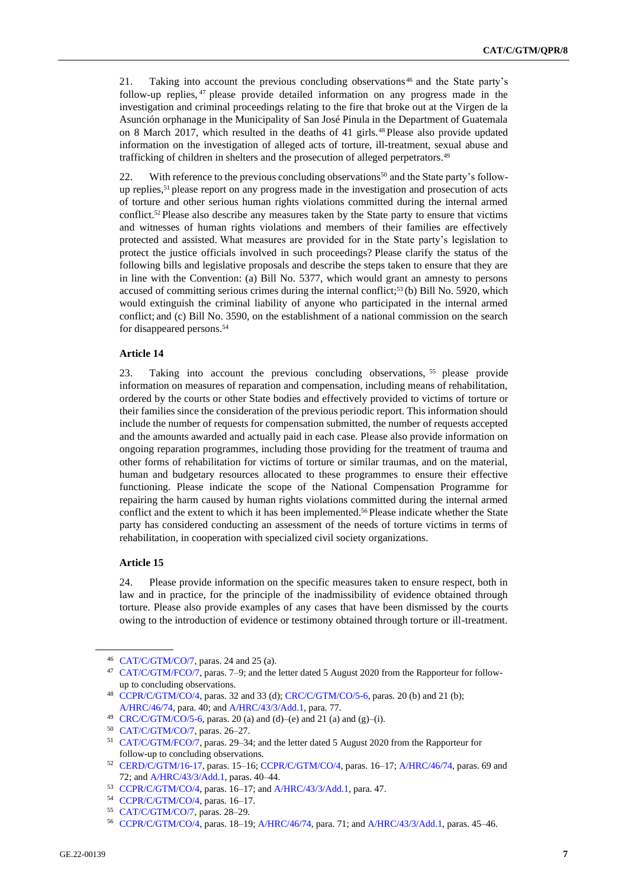21. Taking into account the previous concluding observations <sup>46</sup> and the State party's follow-up replies, <sup>47</sup> please provide detailed information on any progress made in the investigation and criminal proceedings relating to the fire that broke out at the Virgen de la Asunción orphanage in the Municipality of San José Pinula in the Department of Guatemala on 8 March 2017, which resulted in the deaths of 41 girls.<sup>48</sup> Please also provide updated information on the investigation of alleged acts of torture, ill-treatment, sexual abuse and trafficking of children in shelters and the prosecution of alleged perpetrators.<sup>49</sup>

22. With reference to the previous concluding observations<sup>50</sup> and the State party's followup replies,<sup>51</sup> please report on any progress made in the investigation and prosecution of acts of torture and other serious human rights violations committed during the internal armed conflict.<sup>52</sup> Please also describe any measures taken by the State party to ensure that victims and witnesses of human rights violations and members of their families are effectively protected and assisted. What measures are provided for in the State party's legislation to protect the justice officials involved in such proceedings? Please clarify the status of the following bills and legislative proposals and describe the steps taken to ensure that they are in line with the Convention: (a) Bill No. 5377, which would grant an amnesty to persons accused of committing serious crimes during the internal conflict;<sup>53</sup> (b) Bill No. 5920, which would extinguish the criminal liability of anyone who participated in the internal armed conflict; and (c) Bill No. 3590, on the establishment of a national commission on the search for disappeared persons.<sup>54</sup>

## **Article 14**

23. Taking into account the previous concluding observations, <sup>55</sup> please provide information on measures of reparation and compensation, including means of rehabilitation, ordered by the courts or other State bodies and effectively provided to victims of torture or their families since the consideration of the previous periodic report. This information should include the number of requests for compensation submitted, the number of requests accepted and the amounts awarded and actually paid in each case. Please also provide information on ongoing reparation programmes, including those providing for the treatment of trauma and other forms of rehabilitation for victims of torture or similar traumas, and on the material, human and budgetary resources allocated to these programmes to ensure their effective functioning. Please indicate the scope of the National Compensation Programme for repairing the harm caused by human rights violations committed during the internal armed conflict and the extent to which it has been implemented.<sup>56</sup> Please indicate whether the State party has considered conducting an assessment of the needs of torture victims in terms of rehabilitation, in cooperation with specialized civil society organizations.

#### **Article 15**

24. Please provide information on the specific measures taken to ensure respect, both in law and in practice, for the principle of the inadmissibility of evidence obtained through torture. Please also provide examples of any cases that have been dismissed by the courts owing to the introduction of evidence or testimony obtained through torture or ill-treatment.

<sup>46</sup> [CAT/C/GTM/CO/7,](http://undocs.org/en/CAT/C/GTM/CO/7) paras. 24 and 25 (a).

<sup>47</sup> [CAT/C/GTM/FCO/7,](http://undocs.org/en/CAT/C/GTM/FCO/7) paras. 7–9; and the letter dated 5 August 2020 from the Rapporteur for followup to concluding observations.

<sup>48</sup> [CCPR/C/GTM/CO/4,](http://undocs.org/en/CCPR/C/GTM/CO/4) paras. 32 and 33 (d)[; CRC/C/GTM/CO/5-6,](http://undocs.org/en/CRC/C/GTM/CO/5-6) paras. 20 (b) and 21 (b); [A/HRC/46/74,](http://undocs.org/en/A/HRC/46/74) para. 40; an[d A/HRC/43/3/Add.1,](http://undocs.org/en/A/HRC/43/3/Add.1) para. 77.

<sup>&</sup>lt;sup>49</sup> [CRC/C/GTM/CO/5-6,](http://undocs.org/en/CRC/C/GTM/CO/5-6) paras. 20 (a) and (d)–(e) and 21 (a) and (g)–(i).

<sup>50</sup> [CAT/C/GTM/CO/7,](http://undocs.org/en/CAT/C/GTM/CO/7) paras. 26–27.

<sup>51</sup> [CAT/C/GTM/FCO/7,](http://undocs.org/en/CAT/C/GTM/FCO/7) paras. 29–34; and the letter dated 5 August 2020 from the Rapporteur for follow-up to concluding observations.

<sup>52</sup> [CERD/C/GTM/16-17,](http://undocs.org/en/CERD/C/GTM/16-17) paras. 15–16; [CCPR/C/GTM/CO/4,](http://undocs.org/en/CCPR/C/GTM/CO/4) paras. 16–17[; A/HRC/46/74,](http://undocs.org/en/A/HRC/46/74) paras. 69 and 72; an[d A/HRC/43/3/Add.1,](http://undocs.org/en/A/HRC/43/3/Add.1) paras. 40–44.

<sup>53</sup> [CCPR/C/GTM/CO/4,](http://undocs.org/en/CCPR/C/GTM/CO/4) paras. 16–17; and [A/HRC/43/3/Add.1,](http://undocs.org/en/A/HRC/43/3/Add.1) para. 47.

<sup>54</sup> [CCPR/C/GTM/CO/4,](http://undocs.org/en/CCPR/C/GTM/CO/4) paras. 16–17.

<sup>55</sup> [CAT/C/GTM/CO/7,](http://undocs.org/en/CAT/C/GTM/CO/7) paras. 28–29.

<sup>56</sup> [CCPR/C/GTM/CO/4,](http://undocs.org/en/CCPR/C/GTM/CO/4) paras. 18–19[; A/HRC/46/74,](http://undocs.org/en/A/HRC/46/74) para. 71; an[d A/HRC/43/3/Add.1,](http://undocs.org/en/A/HRC/43/3/Add.1) paras. 45–46.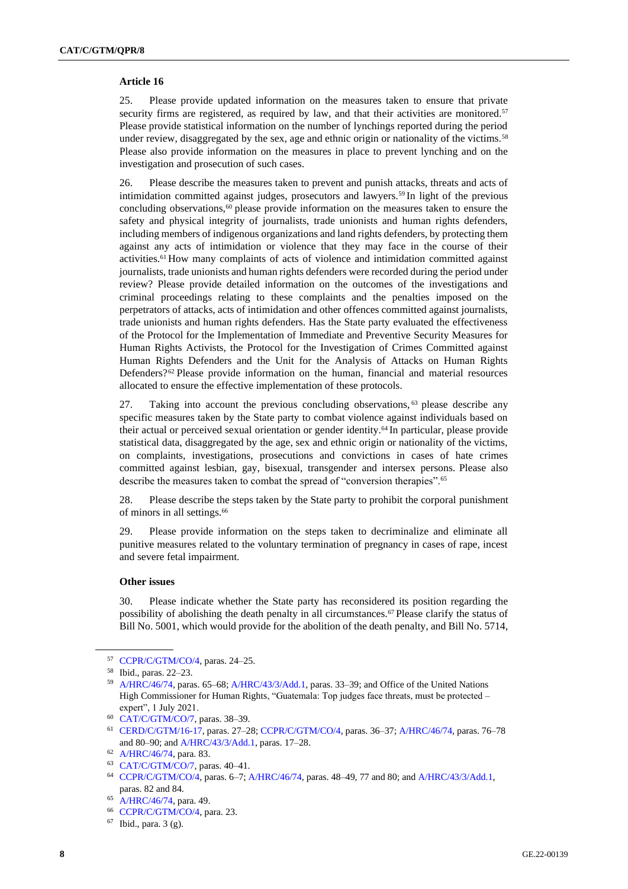25. Please provide updated information on the measures taken to ensure that private security firms are registered, as required by law, and that their activities are monitored.<sup>57</sup> Please provide statistical information on the number of lynchings reported during the period under review, disaggregated by the sex, age and ethnic origin or nationality of the victims.<sup>58</sup> Please also provide information on the measures in place to prevent lynching and on the investigation and prosecution of such cases.

26. Please describe the measures taken to prevent and punish attacks, threats and acts of intimidation committed against judges, prosecutors and lawyers.<sup>59</sup> In light of the previous concluding observations,<sup>60</sup> please provide information on the measures taken to ensure the safety and physical integrity of journalists, trade unionists and human rights defenders, including members of indigenous organizations and land rights defenders, by protecting them against any acts of intimidation or violence that they may face in the course of their activities.<sup>61</sup> How many complaints of acts of violence and intimidation committed against journalists, trade unionists and human rights defenders were recorded during the period under review? Please provide detailed information on the outcomes of the investigations and criminal proceedings relating to these complaints and the penalties imposed on the perpetrators of attacks, acts of intimidation and other offences committed against journalists, trade unionists and human rights defenders. Has the State party evaluated the effectiveness of the Protocol for the Implementation of Immediate and Preventive Security Measures for Human Rights Activists, the Protocol for the Investigation of Crimes Committed against Human Rights Defenders and the Unit for the Analysis of Attacks on Human Rights Defenders?<sup>62</sup> Please provide information on the human, financial and material resources allocated to ensure the effective implementation of these protocols.

27. Taking into account the previous concluding observations, <sup>63</sup> please describe any specific measures taken by the State party to combat violence against individuals based on their actual or perceived sexual orientation or gender identity.<sup>64</sup> In particular, please provide statistical data, disaggregated by the age, sex and ethnic origin or nationality of the victims, on complaints, investigations, prosecutions and convictions in cases of hate crimes committed against lesbian, gay, bisexual, transgender and intersex persons. Please also describe the measures taken to combat the spread of "conversion therapies".<sup>65</sup>

28. Please describe the steps taken by the State party to prohibit the corporal punishment of minors in all settings.<sup>66</sup>

29. Please provide information on the steps taken to decriminalize and eliminate all punitive measures related to the voluntary termination of pregnancy in cases of rape, incest and severe fetal impairment.

#### **Other issues**

30. Please indicate whether the State party has reconsidered its position regarding the possibility of abolishing the death penalty in all circumstances.<sup>67</sup> Please clarify the status of Bill No. 5001, which would provide for the abolition of the death penalty, and Bill No. 5714,

<sup>57</sup> [CCPR/C/GTM/CO/4,](http://undocs.org/en/CCPR/C/GTM/CO/4) paras. 24–25.

<sup>58</sup> Ibid., paras. 22–23.

<sup>59</sup> [A/HRC/46/74,](http://undocs.org/en/A/HRC/46/74) paras. 65–68; [A/HRC/43/3/Add.1,](http://undocs.org/en/A/HRC/43/3/Add.1) paras. 33–39; and Office of the United Nations High Commissioner for Human Rights, "Guatemala: Top judges face threats, must be protected – expert", 1 July 2021.

<sup>60</sup> [CAT/C/GTM/CO/7,](http://undocs.org/en/CAT/C/GTM/CO/7) paras. 38–39.

<sup>61</sup> [CERD/C/GTM/16-17,](http://undocs.org/en/CERD/C/GTM/16-17) paras. 27–28; [CCPR/C/GTM/CO/4,](http://undocs.org/en/CCPR/C/GTM/CO/4) paras. 36–37[; A/HRC/46/74,](http://undocs.org/en/A/HRC/46/74) paras. 76–78 and 80–90; and [A/HRC/43/3/Add.1,](http://undocs.org/en/A/HRC/43/3/Add.1) paras. 17–28.

<sup>62</sup> [A/HRC/46/74,](http://undocs.org/en/A/HRC/46/74) para. 83.

<sup>63</sup> [CAT/C/GTM/CO/7,](http://undocs.org/en/CAT/C/GTM/CO/7) paras. 40–41.

<sup>64</sup> [CCPR/C/GTM/CO/4,](http://undocs.org/en/CCPR/C/GTM/CO/4) paras. 6–7[; A/HRC/46/74,](http://undocs.org/en/A/HRC/46/74) paras. 48–49, 77 and 80; an[d A/HRC/43/3/Add.1,](http://undocs.org/en/A/HRC/43/3/Add.1)  paras. 82 and 84.

<sup>65</sup> [A/HRC/46/74,](http://undocs.org/en/A/HRC/46/74) para. 49.

<sup>66</sup> [CCPR/C/GTM/CO/4,](http://undocs.org/en/CCPR/C/GTM/CO/4) para. 23.

<sup>67</sup> Ibid., para. 3 (g).